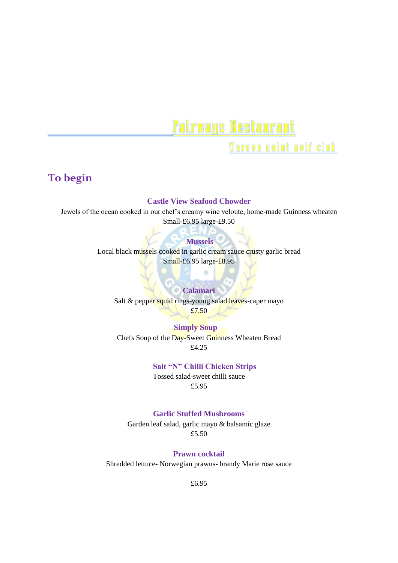# **Fairways Restaurant**

Warren point golf club

# **To begin**

#### **Castle View Seafood Chowder**

Jewels of the ocean cooked in our chef's creamy wine veloute, home-made Guinness wheaten Small-£6.95 large-£9.50

#### **Mussels**

Local black mussels cooked in garlic cream sauce crusty garlic bread Small-£6.95 large-£8.95

×

#### **Calamari**

Salt & pepper squid rings-young salad leaves-caper mayo £7.50

 **Simply Soup** Chefs Soup of the Day-Sweet Guinness Wheaten Bread £4.25

#### **Salt "N" Chilli Chicken Strips**

Tossed salad-sweet chilli sauce £5.95

#### **Garlic Stuffed Mushrooms**

Garden leaf salad, garlic mayo & balsamic glaze £5.50

**Prawn cocktail**

Shredded lettuce- Norwegian prawns- brandy Marie rose sauce

£6.95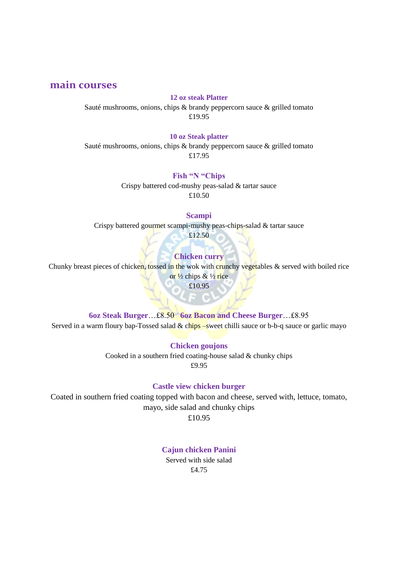## **main courses**

#### **12 oz steak Platter**

Sauté mushrooms, onions, chips & brandy peppercorn sauce & grilled tomato £19.95

#### **10 oz Steak platter**

Sauté mushrooms, onions, chips  $\&$  brandy peppercorn sauce  $\&$  grilled tomato £17.95

### **Fish "N "Chips**

Crispy battered cod-mushy peas-salad & tartar sauce £10.50

#### **Scampi**

Crispy battered gourmet scampi-mushy peas-chips-salad & tartar sauce £12.50

#### **Chicken curry**

Chunky breast pieces of chicken, tossed in the wok with crunchy vegetables  $\&$  served with boiled rice

or  $\frac{1}{2}$  chips &  $\frac{1}{2}$  rice £10.95

#### **6oz Steak Burger**…£8.50 **6oz Bacon and Cheese Burger**…£8.95

Served in a warm floury bap-Tossed salad  $&$  chips –sweet chilli sauce or b-b-q sauce or garlic mayo

**Chicken goujons** Cooked in a southern fried coating-house salad & chunky chips

£9.95

#### **Castle view chicken burger**

Coated in southern fried coating topped with bacon and cheese, served with, lettuce, tomato, mayo, side salad and chunky chips

£10.95

#### **Cajun chicken Panini**

Served with side salad £4.75